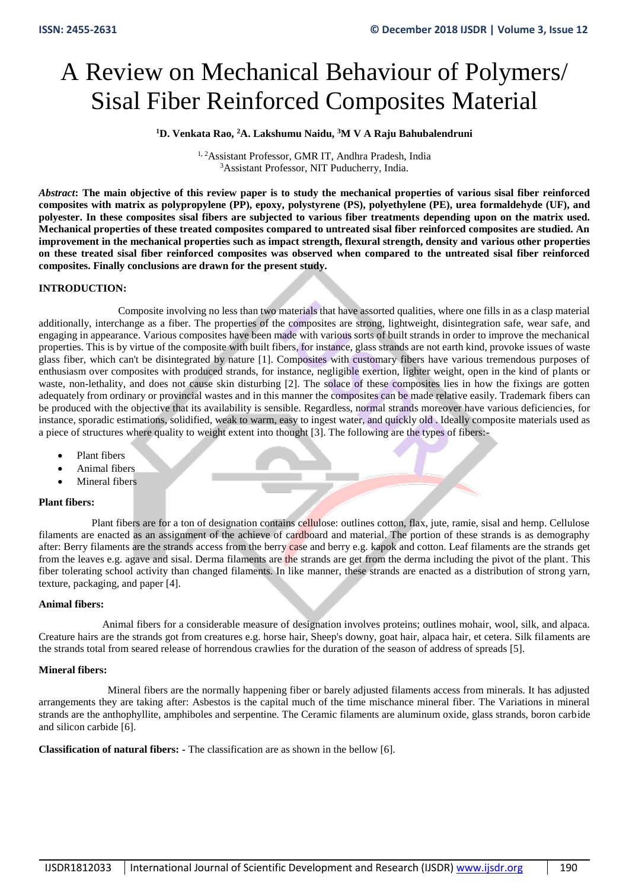# A Review on Mechanical Behaviour of Polymers/ Sisal Fiber Reinforced Composites Material

# **<sup>1</sup>D. Venkata Rao, <sup>2</sup>A. Lakshumu Naidu, <sup>3</sup>M V A Raju Bahubalendruni**

1, 2Assistant Professor, GMR IT, Andhra Pradesh, India <sup>3</sup>Assistant Professor, NIT Puducherry, India.

*Abstract***: The main objective of this review paper is to study the mechanical properties of various sisal fiber reinforced composites with matrix as polypropylene (PP), epoxy, polystyrene (PS), polyethylene (PE), urea formaldehyde (UF), and polyester. In these composites sisal fibers are subjected to various fiber treatments depending upon on the matrix used. Mechanical properties of these treated composites compared to untreated sisal fiber reinforced composites are studied. An improvement in the mechanical properties such as impact strength, flexural strength, density and various other properties on these treated sisal fiber reinforced composites was observed when compared to the untreated sisal fiber reinforced composites. Finally conclusions are drawn for the present study.** 

### **INTRODUCTION:**

 Composite involving no less than two materials that have assorted qualities, where one fills in as a clasp material additionally, interchange as a fiber. The properties of the composites are strong, lightweight, disintegration safe, wear safe, and engaging in appearance. Various composites have been made with various sorts of built strands in order to improve the mechanical properties. This is by virtue of the composite with built fibers, for instance, glass strands are not earth kind, provoke issues of waste glass fiber, which can't be disintegrated by nature [1]. Composites with customary fibers have various tremendous purposes of enthusiasm over composites with produced strands, for instance, negligible exertion, lighter weight, open in the kind of plants or waste, non-lethality, and does not cause skin disturbing [2]. The solace of these composites lies in how the fixings are gotten adequately from ordinary or provincial wastes and in this manner the composites can be made relative easily. Trademark fibers can be produced with the objective that its availability is sensible. Regardless, normal strands moreover have various deficiencies, for instance, sporadic estimations, solidified, weak to warm, easy to ingest water, and quickly old . Ideally composite materials used as a piece of structures where quality to weight extent into thought [3]. The following are the types of fibers:-

- Plant fibers
- Animal fibers
- Mineral fibers

### **Plant fibers:**

Plant fibers are for a ton of designation contains cellulose: outlines cotton, flax, jute, ramie, sisal and hemp. Cellulose filaments are enacted as an assignment of the achieve of cardboard and material. The portion of these strands is as demography after: Berry filaments are the strands access from the berry case and berry e.g. kapok and cotton. Leaf filaments are the strands get from the leaves e.g. agave and sisal. Derma filaments are the strands are get from the derma including the pivot of the plant. This fiber tolerating school activity than changed filaments. In like manner, these strands are enacted as a distribution of strong yarn, texture, packaging, and paper [4].

### **Animal fibers:**

Animal fibers for a considerable measure of designation involves proteins; outlines mohair, wool, silk, and alpaca. Creature hairs are the strands got from creatures e.g. horse hair, Sheep's downy, goat hair, alpaca hair, et cetera. Silk filaments are the strands total from seared release of horrendous crawlies for the duration of the season of address of spreads [5].

### **Mineral fibers:**

 Mineral fibers are the normally happening fiber or barely adjusted filaments access from minerals. It has adjusted arrangements they are taking after: Asbestos is the capital much of the time mischance mineral fiber. The Variations in mineral strands are the anthophyllite, amphiboles and serpentine. The Ceramic filaments are aluminum oxide, glass strands, boron carbide and silicon carbide [6].

**Classification of natural fibers: -** The classification are as shown in the bellow [6].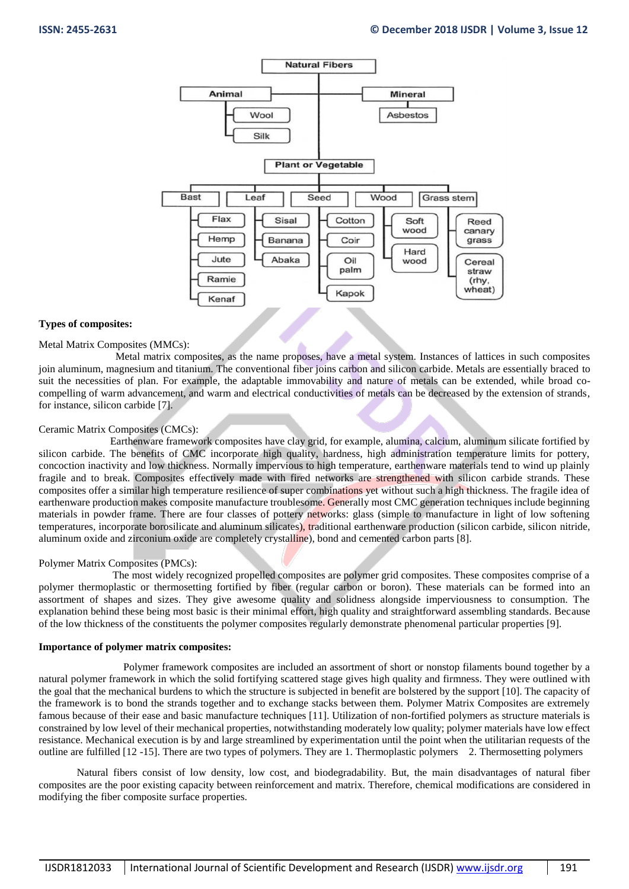

#### **Types of composites:**

#### Metal Matrix Composites (MMCs):

 Metal matrix composites, as the name proposes, have a metal system. Instances of lattices in such composites join aluminum, magnesium and titanium. The conventional fiber joins carbon and silicon carbide. Metals are essentially braced to suit the necessities of plan. For example, the adaptable immovability and nature of metals can be extended, while broad cocompelling of warm advancement, and warm and electrical conductivities of metals can be decreased by the extension of strands, for instance, silicon carbide [7].

### Ceramic Matrix Composites (CMCs):

 Earthenware framework composites have clay grid, for example, alumina, calcium, aluminum silicate fortified by silicon carbide. The benefits of CMC incorporate high quality, hardness, high administration temperature limits for pottery, concoction inactivity and low thickness. Normally impervious to high temperature, earthenware materials tend to wind up plainly fragile and to break. Composites effectively made with fired networks are strengthened with silicon carbide strands. These composites offer a similar high temperature resilience of super combinations yet without such a high thickness. The fragile idea of earthenware production makes composite manufacture troublesome. Generally most CMC generation techniques include beginning materials in powder frame. There are four classes of pottery networks: glass (simple to manufacture in light of low softening temperatures, incorporate borosilicate and aluminum silicates), traditional earthenware production (silicon carbide, silicon nitride, aluminum oxide and zirconium oxide are completely crystalline), bond and cemented carbon parts [8].

#### Polymer Matrix Composites (PMCs):

 The most widely recognized propelled composites are polymer grid composites. These composites comprise of a polymer thermoplastic or thermosetting fortified by fiber (regular carbon or boron). These materials can be formed into an assortment of shapes and sizes. They give awesome quality and solidness alongside imperviousness to consumption. The explanation behind these being most basic is their minimal effort, high quality and straightforward assembling standards. Because of the low thickness of the constituents the polymer composites regularly demonstrate phenomenal particular properties [9].

#### **Importance of polymer matrix composites:**

Polymer framework composites are included an assortment of short or nonstop filaments bound together by a natural polymer framework in which the solid fortifying scattered stage gives high quality and firmness. They were outlined with the goal that the mechanical burdens to which the structure is subjected in benefit are bolstered by the support [10]. The capacity of the framework is to bond the strands together and to exchange stacks between them. Polymer Matrix Composites are extremely famous because of their ease and basic manufacture techniques [11]. Utilization of non-fortified polymers as structure materials is constrained by low level of their mechanical properties, notwithstanding moderately low quality; polymer materials have low effect resistance. Mechanical execution is by and large streamlined by experimentation until the point when the utilitarian requests of the outline are fulfilled [12 -15]. There are two types of polymers. They are 1. Thermoplastic polymers 2. Thermosetting polymers

Natural fibers consist of low density, low cost, and biodegradability. But, the main disadvantages of natural fiber composites are the poor existing capacity between reinforcement and matrix. Therefore, chemical modifications are considered in modifying the fiber composite surface properties.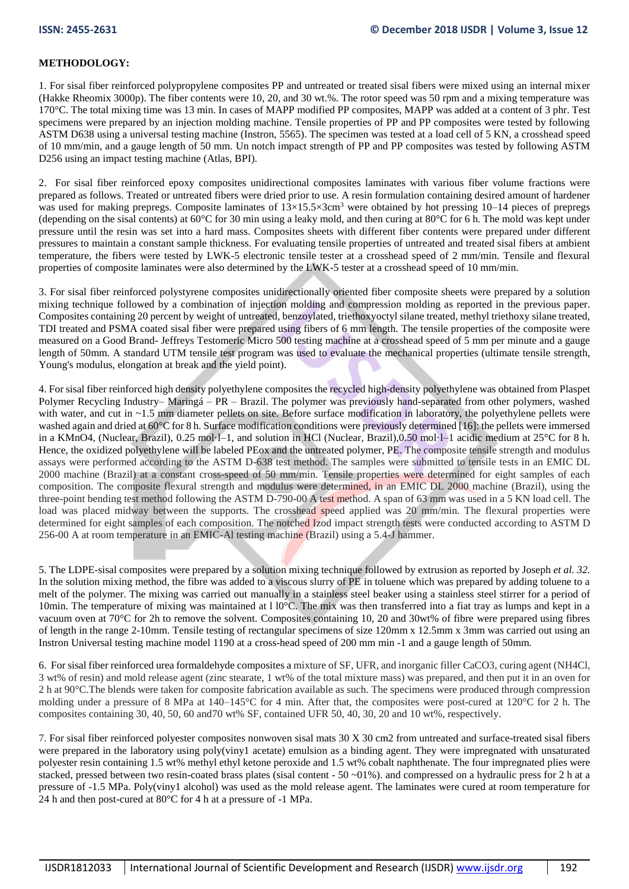# **METHODOLOGY:**

1. For sisal fiber reinforced polypropylene composites PP and untreated or treated sisal fibers were mixed using an internal mixer (Hakke Rheomix 3000p). The fiber contents were 10, 20, and 30 wt.%. The rotor speed was 50 rpm and a mixing temperature was 170°C. The total mixing time was 13 min. In cases of MAPP modified PP composites, MAPP was added at a content of 3 phr. Test specimens were prepared by an injection molding machine. Tensile properties of PP and PP composites were tested by following ASTM D638 using a universal testing machine (Instron, 5565). The specimen was tested at a load cell of 5 KN, a crosshead speed of 10 mm/min, and a gauge length of 50 mm. Un notch impact strength of PP and PP composites was tested by following ASTM D256 using an impact testing machine (Atlas, BPI).

2. For sisal fiber reinforced epoxy composites unidirectional composites laminates with various fiber volume fractions were prepared as follows. Treated or untreated fibers were dried prior to use. A resin formulation containing desired amount of hardener was used for making prepregs. Composite laminates of  $13\times15.5\times3$ cm<sup>3</sup> were obtained by hot pressing 10–14 pieces of prepregs (depending on the sisal contents) at  $60^{\circ}$ C for 30 min using a leaky mold, and then curing at  $80^{\circ}$ C for 6 h. The mold was kept under pressure until the resin was set into a hard mass. Composites sheets with different fiber contents were prepared under different pressures to maintain a constant sample thickness. For evaluating tensile properties of untreated and treated sisal fibers at ambient temperature, the fibers were tested by LWK-5 electronic tensile tester at a crosshead speed of 2 mm/min. Tensile and flexural properties of composite laminates were also determined by the LWK-5 tester at a crosshead speed of 10 mm/min.

3. For sisal fiber reinforced polystyrene composites unidirectionally oriented fiber composite sheets were prepared by a solution mixing technique followed by a combination of injection molding and compression molding as reported in the previous paper. Composites containing 20 percent by weight of untreated, benzoylated, triethoxyoctyl silane treated, methyl triethoxy silane treated, TDI treated and PSMA coated sisal fiber were prepared using fibers of 6 mm length. The tensile properties of the composite were measured on a Good Brand- Jeffreys Testomeric Micro 500 testing machine at a crosshead speed of 5 mm per minute and a gauge length of 50mm. A standard UTM tensile test program was used to evaluate the mechanical properties (ultimate tensile strength, Young's modulus, elongation at break and the yield point).

4. For sisal fiber reinforced high density polyethylene composites the recycled high-density polyethylene was obtained from Plaspet Polymer Recycling Industry– Maringá – PR – Brazil. The polymer was previously hand-separated from other polymers, washed with water, and cut in ~1.5 mm diameter pellets on site. Before surface modification in laboratory, the polyethylene pellets were washed again and dried at 60°C for 8 h. Surface modification conditions were previously determined [16]: the pellets were immersed in a KMnO4, (Nuclear, Brazil), 0.25 mol·l–1, and solution in HCl (Nuclear, Brazil),0.50 mol·l–1 acidic medium at 25°C for 8 h. Hence, the oxidized polyethylene will be labeled PEox and the untreated polymer, PE. The composite tensile strength and modulus assays were performed according to the ASTM D-638 test method. The samples were submitted to tensile tests in an EMIC DL 2000 machine (Brazil) at a constant cross-speed of 50 mm/min. Tensile properties were determined for eight samples of each composition. The composite flexural strength and modulus were determined, in an EMIC DL 2000 machine (Brazil), using the three-point bending test method following the ASTM D-790-00 A test method. A span of 63 mm was used in a 5 KN load cell. The load was placed midway between the supports. The crosshead speed applied was 20 mm/min. The flexural properties were determined for eight samples of each composition. The notched Izod impact strength tests were conducted according to ASTM D 256-00 A at room temperature in an EMIC-Al testing machine (Brazil) using a 5.4-J hammer.

5. The LDPE-sisal composites were prepared by a solution mixing technique followed by extrusion as reported by Joseph *et al. 32.*  In the solution mixing method, the fibre was added to a viscous slurry of PE in toluene which was prepared by adding toluene to a melt of the polymer. The mixing was carried out manually in a stainless steel beaker using a stainless steel stirrer for a period of 10min. The temperature of mixing was maintained at 110°C. The mix was then transferred into a fiat tray as lumps and kept in a vacuum oven at 70°C for 2h to remove the solvent. Composites containing 10, 20 and 30wt% of fibre were prepared using fibres of length in the range 2-10mm. Tensile testing of rectangular specimens of size 120mm x 12.5mm x 3mm was carried out using an Instron Universal testing machine model 1190 at a cross-head speed of 200 mm min -1 and a gauge length of 50mm.

6. For sisal fiber reinforced urea formaldehyde composites a mixture of SF, UFR, and inorganic filler CaCO3, curing agent (NH4Cl, 3 wt% of resin) and mold release agent (zinc stearate, 1 wt% of the total mixture mass) was prepared, and then put it in an oven for 2 h at 90°C.The blends were taken for composite fabrication available as such. The specimens were produced through compression molding under a pressure of 8 MPa at 140–145°C for 4 min. After that, the composites were post-cured at 120°C for 2 h. The composites containing 30, 40, 50, 60 and70 wt% SF, contained UFR 50, 40, 30, 20 and 10 wt%, respectively.

7. For sisal fiber reinforced polyester composites nonwoven sisal mats 30 X 30 cm2 from untreated and surface-treated sisal fibers were prepared in the laboratory using poly(viny1 acetate) emulsion as a binding agent. They were impregnated with unsaturated polyester resin containing 1.5 wt% methyl ethyl ketone peroxide and 1.5 wt% cobalt naphthenate. The four impregnated plies were stacked, pressed between two resin-coated brass plates (sisal content -  $50 -01\%$ ). and compressed on a hydraulic press for 2 h at a pressure of -1.5 MPa. Poly(viny1 alcohol) was used as the mold release agent. The laminates were cured at room temperature for 24 h and then post-cured at 80°C for 4 h at a pressure of -1 MPa.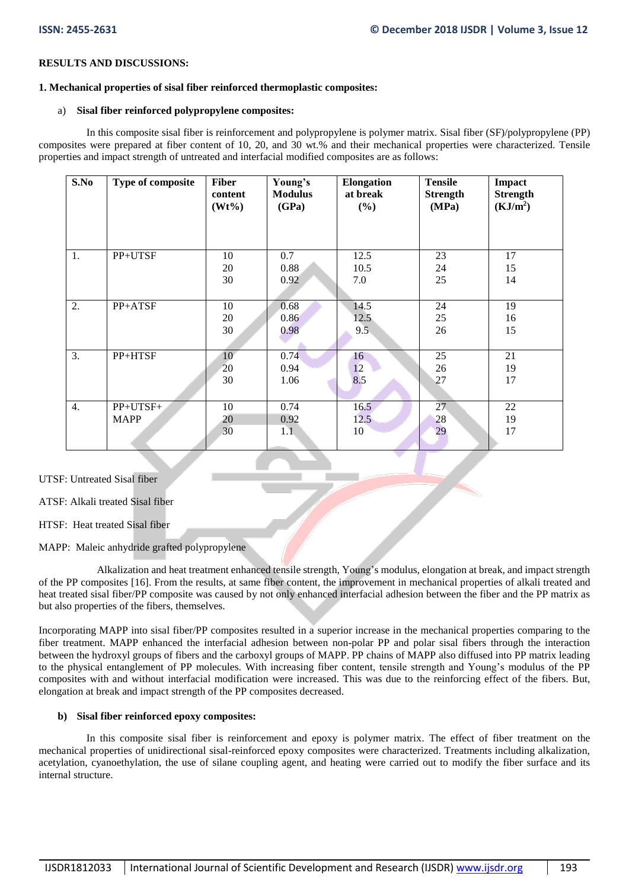#### **RESULTS AND DISCUSSIONS:**

#### **1. Mechanical properties of sisal fiber reinforced thermoplastic composites:**

#### a) **Sisal fiber reinforced polypropylene composites:**

 In this composite sisal fiber is reinforcement and polypropylene is polymer matrix. Sisal fiber (SF)/polypropylene (PP) composites were prepared at fiber content of 10, 20, and 30 wt.% and their mechanical properties were characterized. Tensile properties and impact strength of untreated and interfacial modified composites are as follows:

| S.No             | Type of composite | <b>Fiber</b><br>content<br>$(Wt\%)$ | Young's<br><b>Modulus</b><br>(GPa) | Elongation<br>at break<br>$(\%)$ | <b>Tensile</b><br><b>Strength</b><br>(MPa) | Impact<br><b>Strength</b><br>(KJ/m <sup>2</sup> ) |
|------------------|-------------------|-------------------------------------|------------------------------------|----------------------------------|--------------------------------------------|---------------------------------------------------|
| 1.               | PP+UTSF           | 10                                  | 0.7                                | 12.5                             | 23                                         | 17                                                |
|                  |                   | 20                                  | 0.88                               | 10.5                             | 24                                         | 15                                                |
|                  |                   | 30                                  | 0.92                               | 7.0                              | 25                                         | 14                                                |
| 2.               | PP+ATSF           | 10                                  | 0.68                               | 14.5                             | 24                                         | 19                                                |
|                  |                   | 20                                  | 0.86                               | 12.5                             | 25                                         | 16                                                |
|                  |                   | 30                                  | 0.98                               | 9.5                              | 26                                         | 15                                                |
| $\overline{3}$ . | PP+HTSF           | 10                                  | 0.74                               | 16                               | 25                                         | 21                                                |
|                  |                   | 20                                  | 0.94                               | 12                               | 26                                         | 19                                                |
|                  |                   | 30                                  | 1.06                               | 8.5                              | 27                                         | 17                                                |
| 4.               | PP+UTSF+          | 10                                  | 0.74                               | 16.5                             | 27                                         | 22                                                |
|                  | <b>MAPP</b>       | 20                                  | 0.92                               | 12.5                             | 28                                         | 19                                                |
|                  |                   | 30                                  | 1.1                                | 10                               | 29                                         | 17                                                |

UTSF: Untreated Sisal fiber

ATSF: Alkali treated Sisal fiber

HTSF: Heat treated Sisal fiber

MAPP: Maleic anhydride grafted polypropylene

 Alkalization and heat treatment enhanced tensile strength, Young's modulus, elongation at break, and impact strength of the PP composites [16]. From the results, at same fiber content, the improvement in mechanical properties of alkali treated and heat treated sisal fiber/PP composite was caused by not only enhanced interfacial adhesion between the fiber and the PP matrix as but also properties of the fibers, themselves.

Incorporating MAPP into sisal fiber/PP composites resulted in a superior increase in the mechanical properties comparing to the fiber treatment. MAPP enhanced the interfacial adhesion between non-polar PP and polar sisal fibers through the interaction between the hydroxyl groups of fibers and the carboxyl groups of MAPP. PP chains of MAPP also diffused into PP matrix leading to the physical entanglement of PP molecules. With increasing fiber content, tensile strength and Young's modulus of the PP composites with and without interfacial modification were increased. This was due to the reinforcing effect of the fibers. But, elongation at break and impact strength of the PP composites decreased.

#### **b) Sisal fiber reinforced epoxy composites:**

 In this composite sisal fiber is reinforcement and epoxy is polymer matrix. The effect of fiber treatment on the mechanical properties of unidirectional sisal-reinforced epoxy composites were characterized. Treatments including alkalization, acetylation, cyanoethylation, the use of silane coupling agent, and heating were carried out to modify the fiber surface and its internal structure.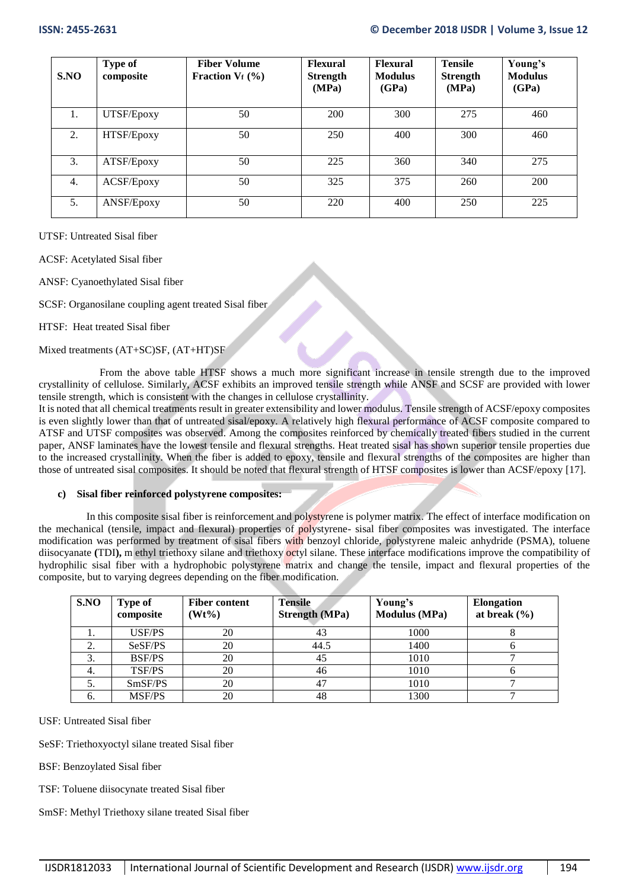| S.NO | <b>Type of</b><br>composite | <b>Fiber Volume</b><br>Fraction $V_f$ (%) | <b>Flexural</b><br><b>Strength</b><br>(MPa) | <b>Flexural</b><br><b>Modulus</b><br>(GPa) | <b>Tensile</b><br><b>Strength</b><br>(MPa) | Young's<br><b>Modulus</b><br>(GPa) |
|------|-----------------------------|-------------------------------------------|---------------------------------------------|--------------------------------------------|--------------------------------------------|------------------------------------|
|      | UTSF/Epoxy                  | 50                                        | 200                                         | 300                                        | 275                                        | 460                                |
| 2.   | HTSF/Epoxy                  | 50                                        | 250                                         | 400                                        | 300                                        | 460                                |
| 3.   | ATSF/Epoxy                  | 50                                        | 225                                         | 360                                        | 340                                        | 275                                |
| 4.   | ACSF/Epoxy                  | 50                                        | 325                                         | 375                                        | 260                                        | 200                                |
| 5.   | ANSF/Epoxy                  | 50                                        | 220                                         | 400                                        | 250                                        | 225                                |

UTSF: Untreated Sisal fiber

ACSF: Acetylated Sisal fiber

ANSF: Cyanoethylated Sisal fiber

SCSF: Organosilane coupling agent treated Sisal fiber

HTSF: Heat treated Sisal fiber

Mixed treatments (AT+SC)SF, (AT+HT)SF

 From the above table HTSF shows a much more significant increase in tensile strength due to the improved crystallinity of cellulose. Similarly, ACSF exhibits an improved tensile strength while ANSF and SCSF are provided with lower tensile strength, which is consistent with the changes in cellulose crystallinity.

It is noted that all chemical treatments result in greater extensibility and lower modulus. Tensile strength of ACSF/epoxy composites is even slightly lower than that of untreated sisal/epoxy. A relatively high flexural performance of ACSF composite compared to ATSF and UTSF composites was observed. Among the composites reinforced by chemically treated fibers studied in the current paper, ANSF laminates have the lowest tensile and flexural strengths. Heat treated sisal has shown superior tensile properties due to the increased crystallinity. When the fiber is added to epoxy, tensile and flexural strengths of the composites are higher than those of untreated sisal composites. It should be noted that flexural strength of HTSF composites is lower than ACSF/epoxy [17].

### **c) Sisal fiber reinforced polystyrene composites:**

 In this composite sisal fiber is reinforcement and polystyrene is polymer matrix. The effect of interface modification on the mechanical (tensile, impact and flexural) properties of polystyrene- sisal fiber composites was investigated. The interface modification was performed by treatment of sisal fibers with benzoyl chloride, polystyrene maleic anhydride (PSMA), toluene diisocyanate **(**TDI**),** m ethyl triethoxy silane and triethoxy octyl silane. These interface modifications improve the compatibility of hydrophilic sisal fiber with a hydrophobic polystyrene matrix and change the tensile, impact and flexural properties of the composite, but to varying degrees depending on the fiber modification.

| S.NO             | <b>Type of</b><br>composite | <b>Fiber content</b><br>$Wt\%$ | <b>Tensile</b><br><b>Strength (MPa)</b> | Young's<br><b>Modulus</b> (MPa) | <b>Elongation</b><br>at break $(\% )$ |
|------------------|-----------------------------|--------------------------------|-----------------------------------------|---------------------------------|---------------------------------------|
|                  | USF/PS                      | 20                             | 43                                      | 1000                            |                                       |
| z.               | SeSF/PS                     | 20                             | 44.5                                    | 1400                            |                                       |
| $\mathfrak{I}$ . | <b>BSF/PS</b>               | 20                             | 45                                      | 1010                            |                                       |
| 4.               | <b>TSF/PS</b>               | 20                             | 46                                      | 1010                            |                                       |
| J.               | SmSF/PS                     | 20                             | 47                                      | 1010                            |                                       |
| 6.               | <b>MSF/PS</b>               | 20                             | 48                                      | 1300                            |                                       |

USF: Untreated Sisal fiber

SeSF: Triethoxyoctyl silane treated Sisal fiber

BSF: Benzoylated Sisal fiber

TSF: Toluene diisocynate treated Sisal fiber

SmSF: Methyl Triethoxy silane treated Sisal fiber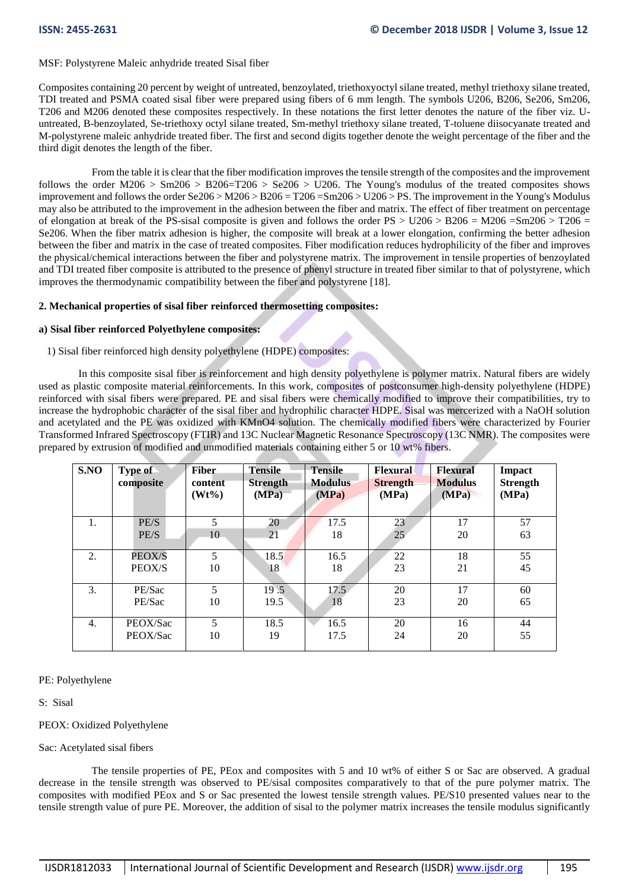### MSF: Polystyrene Maleic anhydride treated Sisal fiber

Composites containing 20 percent by weight of untreated, benzoylated, triethoxyoctyl silane treated, methyl triethoxy silane treated, TDI treated and PSMA coated sisal fiber were prepared using fibers of 6 mm length. The symbols U206, B206, Se206, Sm206, T206 and M206 denoted these composites respectively. In these notations the first letter denotes the nature of the fiber viz. Uuntreated, B-benzoylated, Se-triethoxy octyl silane treated, Sm-methyl triethoxy silane treated, T-toluene diisocyanate treated and M-polystyrene maleic anhydride treated fiber. The first and second digits together denote the weight percentage of the fiber and the third digit denotes the length of the fiber.

 From the table it is clear that the fiber modification improves the tensile strength of the composites and the improvement follows the order M206 > Sm206 > B206=T206 > Se206 > U206. The Young's modulus of the treated composites shows improvement and follows the order Se206 > M206 > B206 = T206 =Sm206 > U206 > PS. The improvement in the Young's Modulus may also be attributed to the improvement in the adhesion between the fiber and matrix. The effect of fiber treatment on percentage of elongation at break of the PS-sisal composite is given and follows the order  $PS > U206 > B206 = M206 = Sm206 > T206 =$ Se206. When the fiber matrix adhesion is higher, the composite will break at a lower elongation, confirming the better adhesion between the fiber and matrix in the case of treated composites. Fiber modification reduces hydrophilicity of the fiber and improves the physical/chemical interactions between the fiber and polystyrene matrix. The improvement in tensile properties of benzoylated and TDI treated fiber composite is attributed to the presence of phenyl structure in treated fiber similar to that of polystyrene, which improves the thermodynamic compatibility between the fiber and polystyrene [18].

### **2. Mechanical properties of sisal fiber reinforced thermosetting composites:**

# **a) Sisal fiber reinforced Polyethylene composites:**

# 1) Sisal fiber reinforced high density polyethylene (HDPE) composites:

 In this composite sisal fiber is reinforcement and high density polyethylene is polymer matrix. Natural fibers are widely used as plastic composite material reinforcements. In this work, composites of postconsumer high-density polyethylene (HDPE) reinforced with sisal fibers were prepared. PE and sisal fibers were chemically modified to improve their compatibilities, try to increase the hydrophobic character of the sisal fiber and hydrophilic character HDPE. Sisal was mercerized with a NaOH solution and acetylated and the PE was oxidized with KMnO4 solution. The chemically modified fibers were characterized by Fourier Transformed Infrared Spectroscopy (FTIR) and 13C Nuclear Magnetic Resonance Spectroscopy (13C NMR). The composites were prepared by extrusion of modified and unmodified materials containing either 5 or 10 wt% fibers.

| S.NO | Type of<br>composite | <b>Fiber</b><br>content<br>$(Wt\%)$ | <b>Tensile</b><br><b>Strength</b><br>(MPa) | <b>Tensile</b><br><b>Modulus</b><br>(MPa) | Flexural<br><b>Strength</b><br>(MPa) | <b>Flexural</b><br><b>Modulus</b><br>(MPa) | <b>Impact</b><br><b>Strength</b><br>(MPa) |
|------|----------------------|-------------------------------------|--------------------------------------------|-------------------------------------------|--------------------------------------|--------------------------------------------|-------------------------------------------|
| 1.   | PE/S                 | 5                                   | 20                                         | 17.5                                      | 23                                   | 17                                         | 57                                        |
|      | PE/S                 | 10                                  | 21                                         | 18                                        | 25                                   | 20                                         | 63                                        |
| 2.   | PEOX/S               | 5                                   | 18.5                                       | 16.5                                      | 22                                   | 18                                         | 55                                        |
|      | PEOX/S               | 10                                  | 18                                         | 18                                        | 23                                   | 21                                         | 45                                        |
| 3.   | PE/Sac               | 5                                   | 19.5                                       | 17.5                                      | 20                                   | 17                                         | 60                                        |
|      | PE/Sac               | 10                                  | 19.5                                       | 18                                        | 23                                   | 20                                         | 65                                        |
| 4.   | PEOX/Sac             | 5                                   | 18.5                                       | 16.5                                      | 20                                   | 16                                         | 44                                        |
|      | PEOX/Sac             | 10                                  | 19                                         | 17.5                                      | 24                                   | 20                                         | 55                                        |

### PE: Polyethylene

S: Sisal

### PEOX: Oxidized Polyethylene

### Sac: Acetylated sisal fibers

 The tensile properties of PE, PEox and composites with 5 and 10 wt% of either S or Sac are observed. A gradual decrease in the tensile strength was observed to PE/sisal composites comparatively to that of the pure polymer matrix. The composites with modified PEox and S or Sac presented the lowest tensile strength values. PE/S10 presented values near to the tensile strength value of pure PE. Moreover, the addition of sisal to the polymer matrix increases the tensile modulus significantly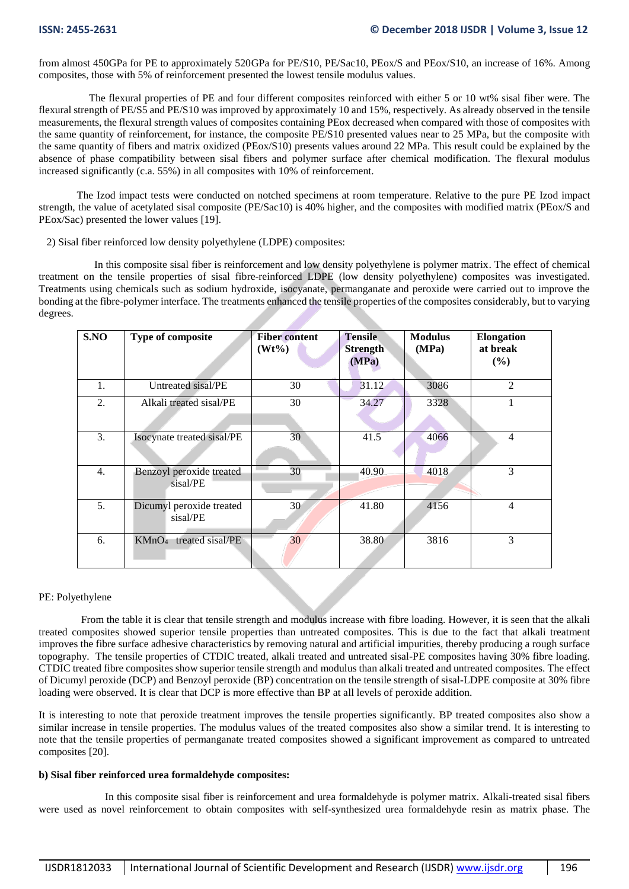from almost 450GPa for PE to approximately 520GPa for PE/S10, PE/Sac10, PEox/S and PEox/S10, an increase of 16%. Among composites, those with 5% of reinforcement presented the lowest tensile modulus values.

 The flexural properties of PE and four different composites reinforced with either 5 or 10 wt% sisal fiber were. The flexural strength of PE/S5 and PE/S10 was improved by approximately 10 and 15%, respectively. As already observed in the tensile measurements, the flexural strength values of composites containing PEox decreased when compared with those of composites with the same quantity of reinforcement, for instance, the composite PE/S10 presented values near to 25 MPa, but the composite with the same quantity of fibers and matrix oxidized (PEox/S10) presents values around 22 MPa. This result could be explained by the absence of phase compatibility between sisal fibers and polymer surface after chemical modification. The flexural modulus increased significantly (c.a. 55%) in all composites with 10% of reinforcement.

The Izod impact tests were conducted on notched specimens at room temperature. Relative to the pure PE Izod impact strength, the value of acetylated sisal composite (PE/Sac10) is 40% higher, and the composites with modified matrix (PEox/S and PEox/Sac) presented the lower values [19].

2) Sisal fiber reinforced low density polyethylene (LDPE) composites:

 In this composite sisal fiber is reinforcement and low density polyethylene is polymer matrix. The effect of chemical treatment on the tensile properties of sisal fibre-reinforced LDPE (low density polyethylene) composites was investigated. Treatments using chemicals such as sodium hydroxide, isocyanate, permanganate and peroxide were carried out to improve the bonding at the fibre-polymer interface. The treatments enhanced the tensile properties of the composites considerably, but to varying degrees.

| S.NO             | Type of composite                    | <b>Fiber content</b><br>$(Wt\%)$ | <b>Tensile</b><br><b>Strength</b><br>(MPa) | <b>Modulus</b><br>(MPa) | <b>Elongation</b><br>at break<br>(%) |
|------------------|--------------------------------------|----------------------------------|--------------------------------------------|-------------------------|--------------------------------------|
| 1.               | Untreated sisal/PE                   | 30                               | 31.12                                      | 3086                    | 2                                    |
| 2.               | Alkali treated sisal/PE              | 30                               | 34.27                                      | 3328                    |                                      |
| 3.               | Isocynate treated sisal/PE           | 30                               | 41.5                                       | 4066                    | $\overline{4}$                       |
| $\overline{4}$ . | Benzoyl peroxide treated<br>sisal/PE | 30                               | 40.90                                      | 4018                    | 3                                    |
| 5.               | Dicumyl peroxide treated<br>sisal/PE | 30                               | 41.80                                      | 4156                    | $\overline{4}$                       |
| 6.               | $KMnO4$ treated sisal/PE             | 30                               | 38.80                                      | 3816                    | 3                                    |

### PE: Polyethylene

 From the table it is clear that tensile strength and modulus increase with fibre loading. However, it is seen that the alkali treated composites showed superior tensile properties than untreated composites. This is due to the fact that alkali treatment improves the fibre surface adhesive characteristics by removing natural and artificial impurities, thereby producing a rough surface topography. The tensile properties of CTDIC treated, alkali treated and untreated sisal-PE composites having 30% fibre loading. CTDIC treated fibre composites show superior tensile strength and modulus than alkali treated and untreated composites. The effect of Dicumyl peroxide (DCP) and Benzoyl peroxide (BP) concentration on the tensile strength of sisal-LDPE composite at 30% fibre loading were observed. It is clear that DCP is more effective than BP at all levels of peroxide addition.

It is interesting to note that peroxide treatment improves the tensile properties significantly. BP treated composites also show a similar increase in tensile properties. The modulus values of the treated composites also show a similar trend. It is interesting to note that the tensile properties of permanganate treated composites showed a significant improvement as compared to untreated composites [20].

### **b) Sisal fiber reinforced urea formaldehyde composites:**

 In this composite sisal fiber is reinforcement and urea formaldehyde is polymer matrix. Alkali-treated sisal fibers were used as novel reinforcement to obtain composites with self-synthesized urea formaldehyde resin as matrix phase. The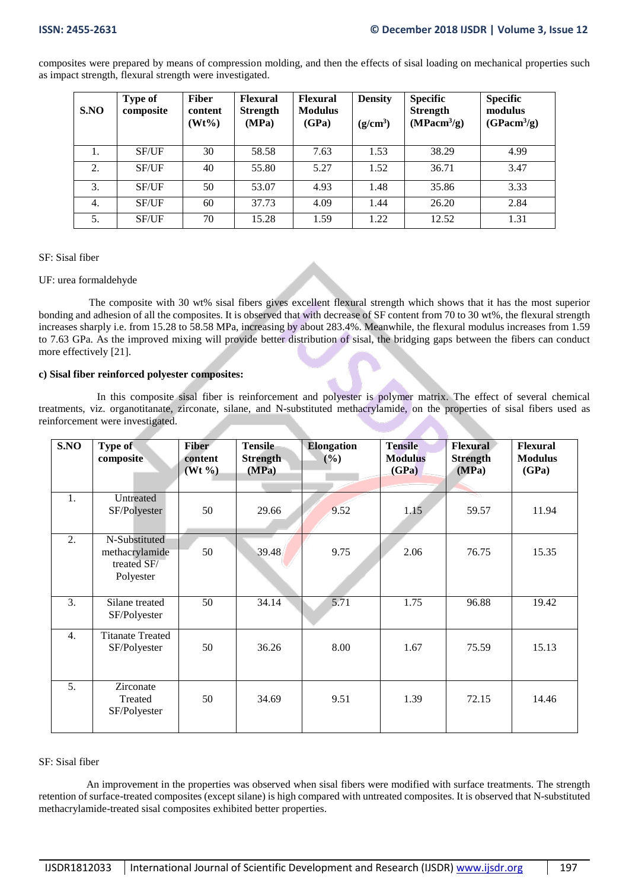composites were prepared by means of compression molding, and then the effects of sisal loading on mechanical properties such as impact strength, flexural strength were investigated.

| S.NO | Type of<br>composite | <b>Fiber</b><br>content<br>$(Wt\%)$ | <b>Flexural</b><br><b>Strength</b><br>(MPa) | <b>Flexural</b><br><b>Modulus</b><br>(GPa) | <b>Density</b><br>(g/cm <sup>3</sup> ) | <b>Specific</b><br><b>Strength</b><br>(MPacm <sup>3</sup> /g) | <b>Specific</b><br>modulus<br>(GPacm <sup>3</sup> /g) |
|------|----------------------|-------------------------------------|---------------------------------------------|--------------------------------------------|----------------------------------------|---------------------------------------------------------------|-------------------------------------------------------|
| 1.   | SF/UF                | 30                                  | 58.58                                       | 7.63                                       | 1.53                                   | 38.29                                                         | 4.99                                                  |
| 2.   | <b>SF/UF</b>         | 40                                  | 55.80                                       | 5.27                                       | 1.52                                   | 36.71                                                         | 3.47                                                  |
| 3.   | <b>SF/UF</b>         | 50                                  | 53.07                                       | 4.93                                       | 1.48                                   | 35.86                                                         | 3.33                                                  |
| 4.   | <b>SF/UF</b>         | 60                                  | 37.73                                       | 4.09                                       | 1.44                                   | 26.20                                                         | 2.84                                                  |
| 5.   | SF/UF                | 70                                  | 15.28                                       | 1.59                                       | 1.22                                   | 12.52                                                         | 1.31                                                  |

### SF: Sisal fiber

### UF: urea formaldehyde

 The composite with 30 wt% sisal fibers gives excellent flexural strength which shows that it has the most superior bonding and adhesion of all the composites. It is observed that with decrease of SF content from 70 to 30 wt%, the flexural strength increases sharply i.e. from 15.28 to 58.58 MPa, increasing by about 283.4%. Meanwhile, the flexural modulus increases from 1.59 to 7.63 GPa. As the improved mixing will provide better distribution of sisal, the bridging gaps between the fibers can conduct more effectively [21].

# **c) Sisal fiber reinforced polyester composites:**

 In this composite sisal fiber is reinforcement and polyester is polymer matrix. The effect of several chemical treatments, viz. organotitanate, zirconate, silane, and N-substituted methacrylamide, on the properties of sisal fibers used as reinforcement were investigated.

| S.NO             | Type of<br>composite                                        | <b>Fiber</b><br>content<br>$(Wt \, \%)$ | <b>Tensile</b><br><b>Strength</b><br>(MPa) | <b>Elongation</b><br>(%) | <b>Tensile</b><br><b>Modulus</b><br>(GPa) | <b>Flexural</b><br><b>Strength</b><br>(MPa) | <b>Flexural</b><br><b>Modulus</b><br>(GPa) |
|------------------|-------------------------------------------------------------|-----------------------------------------|--------------------------------------------|--------------------------|-------------------------------------------|---------------------------------------------|--------------------------------------------|
| 1.               | Untreated<br>SF/Polyester                                   | 50                                      | 29.66                                      | 9.52                     | 1.15                                      | 59.57                                       | 11.94                                      |
| 2.               | N-Substituted<br>methacrylamide<br>treated SF/<br>Polyester | 50                                      | 39.48                                      | 9.75                     | 2.06                                      | 76.75                                       | 15.35                                      |
| 3.               | Silane treated<br>SF/Polyester                              | 50                                      | 34.14                                      | 5.71                     | 1.75                                      | 96.88                                       | 19.42                                      |
| $\overline{4}$ . | <b>Titanate Treated</b><br>SF/Polyester                     | 50                                      | 36.26                                      | 8.00                     | 1.67                                      | 75.59                                       | 15.13                                      |
| 5.               | Zirconate<br>Treated<br>SF/Polyester                        | 50                                      | 34.69                                      | 9.51                     | 1.39                                      | 72.15                                       | 14.46                                      |

### SF: Sisal fiber

 An improvement in the properties was observed when sisal fibers were modified with surface treatments. The strength retention of surface-treated composites (except silane) is high compared with untreated composites. It is observed that N-substituted methacrylamide-treated sisal composites exhibited better properties.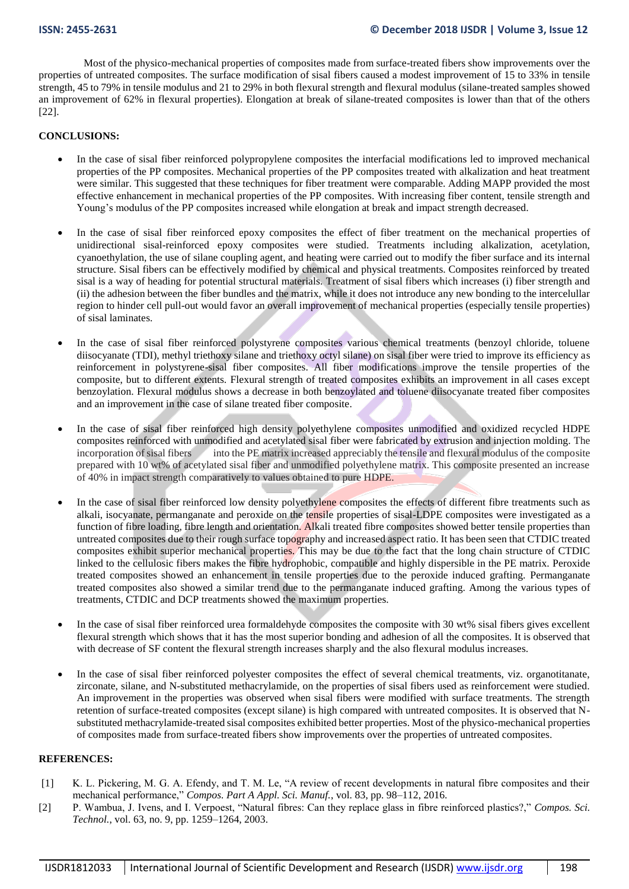Most of the physico-mechanical properties of composites made from surface-treated fibers show improvements over the properties of untreated composites. The surface modification of sisal fibers caused a modest improvement of 15 to 33% in tensile strength, 45 to 79% in tensile modulus and 21 to 29% in both flexural strength and flexural modulus (silane-treated samples showed an improvement of 62% in flexural properties). Elongation at break of silane-treated composites is lower than that of the others [22].

### **CONCLUSIONS:**

- In the case of sisal fiber reinforced polypropylene composites the interfacial modifications led to improved mechanical properties of the PP composites. Mechanical properties of the PP composites treated with alkalization and heat treatment were similar. This suggested that these techniques for fiber treatment were comparable. Adding MAPP provided the most effective enhancement in mechanical properties of the PP composites. With increasing fiber content, tensile strength and Young's modulus of the PP composites increased while elongation at break and impact strength decreased.
- In the case of sisal fiber reinforced epoxy composites the effect of fiber treatment on the mechanical properties of unidirectional sisal-reinforced epoxy composites were studied. Treatments including alkalization, acetylation, cyanoethylation, the use of silane coupling agent, and heating were carried out to modify the fiber surface and its internal structure. Sisal fibers can be effectively modified by chemical and physical treatments. Composites reinforced by treated sisal is a way of heading for potential structural materials. Treatment of sisal fibers which increases (i) fiber strength and (ii) the adhesion between the fiber bundles and the matrix, while it does not introduce any new bonding to the intercelullar region to hinder cell pull-out would favor an overall improvement of mechanical properties (especially tensile properties) of sisal laminates.
- In the case of sisal fiber reinforced polystyrene composites various chemical treatments (benzoyl chloride, toluene diisocyanate (TDI), methyl triethoxy silane and triethoxy octyl silane) on sisal fiber were tried to improve its efficiency as reinforcement in polystyrene-sisal fiber composites. All fiber modifications improve the tensile properties of the composite, but to different extents. Flexural strength of treated composites exhibits an improvement in all cases except benzoylation. Flexural modulus shows a decrease in both benzoylated and toluene diisocyanate treated fiber composites and an improvement in the case of silane treated fiber composite.
- In the case of sisal fiber reinforced high density polyethylene composites unmodified and oxidized recycled HDPE composites reinforced with unmodified and acetylated sisal fiber were fabricated by extrusion and injection molding. The incorporation of sisal fibers into the PE matrix increased appreciably the tensile and flexural modulus of the composite prepared with 10 wt% of acetylated sisal fiber and unmodified polyethylene matrix. This composite presented an increase of 40% in impact strength comparatively to values obtained to pure HDPE.
- In the case of sisal fiber reinforced low density polyethylene composites the effects of different fibre treatments such as alkali, isocyanate, permanganate and peroxide on the tensile properties of sisal-LDPE composites were investigated as a function of fibre loading, fibre length and orientation. Alkali treated fibre composites showed better tensile properties than untreated composites due to their rough surface topography and increased aspect ratio. It has been seen that CTDIC treated composites exhibit superior mechanical properties. This may be due to the fact that the long chain structure of CTDIC linked to the cellulosic fibers makes the fibre hydrophobic, compatible and highly dispersible in the PE matrix. Peroxide treated composites showed an enhancement in tensile properties due to the peroxide induced grafting. Permanganate treated composites also showed a similar trend due to the permanganate induced grafting. Among the various types of treatments, CTDIC and DCP treatments showed the maximum properties.
- In the case of sisal fiber reinforced urea formaldehyde composites the composite with 30 wt% sisal fibers gives excellent flexural strength which shows that it has the most superior bonding and adhesion of all the composites. It is observed that with decrease of SF content the flexural strength increases sharply and the also flexural modulus increases.
- In the case of sisal fiber reinforced polyester composites the effect of several chemical treatments, viz. organotitanate, zirconate, silane, and N-substituted methacrylamide, on the properties of sisal fibers used as reinforcement were studied. An improvement in the properties was observed when sisal fibers were modified with surface treatments. The strength retention of surface-treated composites (except silane) is high compared with untreated composites. It is observed that Nsubstituted methacrylamide-treated sisal composites exhibited better properties. Most of the physico-mechanical properties of composites made from surface-treated fibers show improvements over the properties of untreated composites.

## **REFERENCES:**

- [1] K. L. Pickering, M. G. A. Efendy, and T. M. Le, "A review of recent developments in natural fibre composites and their mechanical performance," *Compos. Part A Appl. Sci. Manuf.*, vol. 83, pp. 98–112, 2016.
- [2] P. Wambua, J. Ivens, and I. Verpoest, "Natural fibres: Can they replace glass in fibre reinforced plastics?," *Compos. Sci. Technol.*, vol. 63, no. 9, pp. 1259–1264, 2003.